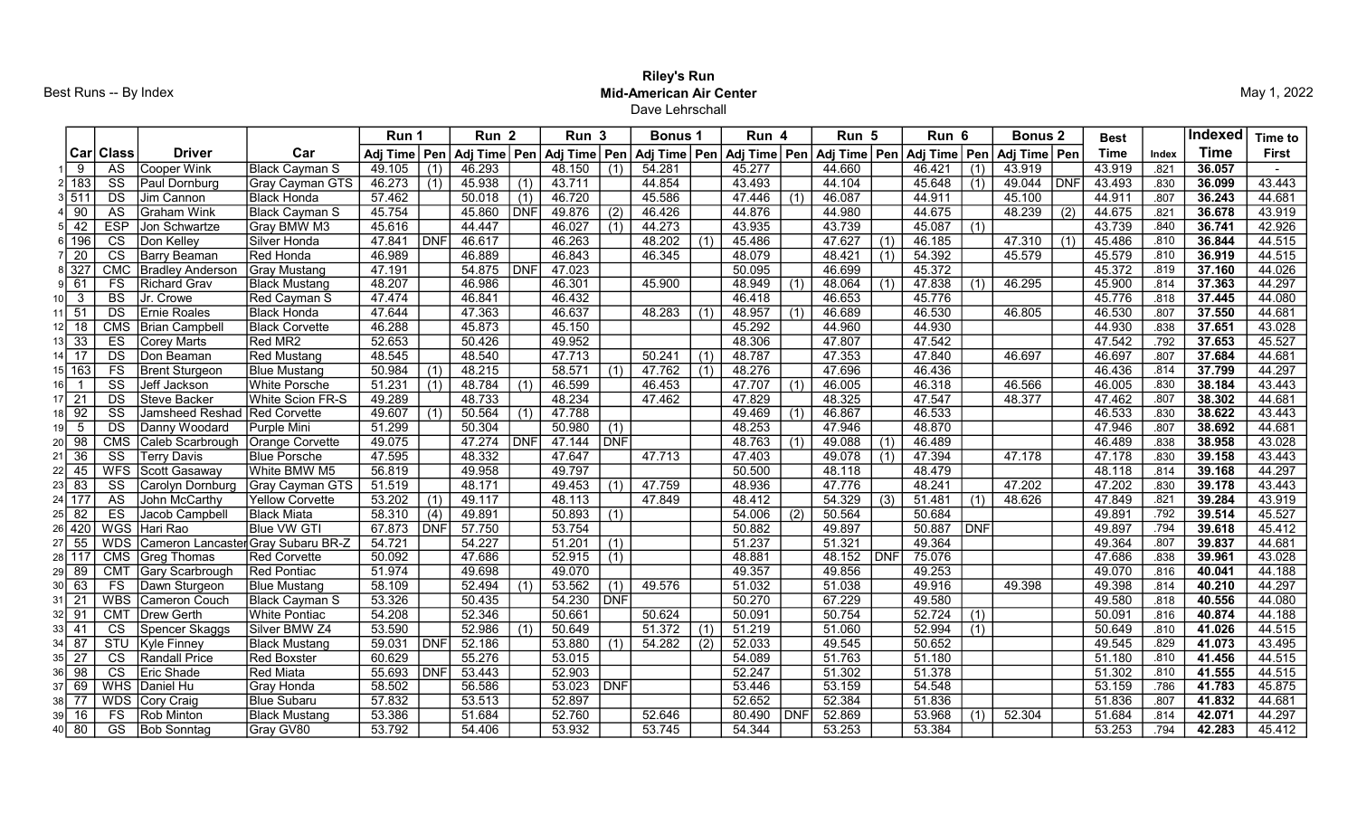Best Runs -- By Index

## Riley's Run Mid-American Air Center Dave Lehrschall

|       |                     |                         |                                    |                        | Run 1          |                  | Run <sub>2</sub>           |            | Run 3  |                  | <b>Bonus 1</b> |                  | Run 4  |                  | Run 5                           |                  | Run 6  |     | <b>Bonus 2</b>                    |                  | <b>Best</b> |              | <b>Indexed</b> | Time to      |
|-------|---------------------|-------------------------|------------------------------------|------------------------|----------------|------------------|----------------------------|------------|--------|------------------|----------------|------------------|--------|------------------|---------------------------------|------------------|--------|-----|-----------------------------------|------------------|-------------|--------------|----------------|--------------|
|       |                     | Carl Class              | <b>Driver</b>                      | Car                    | Adj Time   Pen |                  | │Adj Time│Pen│Adj Time│Pen |            |        |                  | Adj Time   Pen |                  |        |                  | Adj Time   Pen   Adj Time   Pen |                  |        |     | │ Adj Time │ Pen │ Adj Time │ Pen |                  | <b>Time</b> | <b>Index</b> | <b>Time</b>    | <b>First</b> |
|       | - 9                 | <b>AS</b>               | Cooper Wink                        | <b>Black Cayman S</b>  | 49.105         | (1)              | 46.293                     |            | 48.150 | (1)              | 54.281         |                  | 45.277 |                  | 44.660                          |                  | 46.421 | (1) | 43.919                            |                  | 43.919      | .821         | 36.057         |              |
|       | 2  183              | $\overline{\text{ss}}$  | Paul Dornburg                      | <b>Gray Cayman GTS</b> | 46.273         | $\overline{(1)}$ | 45.938                     | (1)        | 43.711 |                  | 44.854         |                  | 43.493 |                  | 44.104                          |                  | 45.648 | (1) | 49.044                            | DNF              | 43.493      | .830         | 36.099         | 43.443       |
|       | 3 511               | $\overline{DS}$         | Jim Cannon                         | <b>Black Honda</b>     | 57.462         |                  | 50.018                     | (1)        | 46.720 |                  | 45.586         |                  | 47.446 | (1)              | 46.087                          |                  | 44.911 |     | 45.100                            |                  | 44.911      | .807         | 36.243         | 44.681       |
|       | $\overline{90}$     | $\overline{AS}$         | <b>Graham Wink</b>                 | <b>Black Cayman S</b>  | 45.754         |                  | 45.860                     | <b>DNF</b> | 49.876 | $\overline{(2)}$ | 46.426         |                  | 44.876 |                  | 44.980                          |                  | 44.675 |     | 48.239                            | $\overline{(2)}$ | 44.675      | .821         | 36.678         | 43.919       |
|       | 42                  | <b>ESP</b>              | Jon Schwartze                      | Gray BMW M3            | 45.616         |                  | 44.447                     |            | 46.027 | (1)              | 44.273         |                  | 43.935 |                  | 43.739                          |                  | 45.087 | (1) |                                   |                  | 43.739      | .840         | 36.741         | 42.926       |
|       | 6 196               | $\overline{\text{cs}}$  | Don Kelley                         | Silver Honda           | 47.841         | DNF              | 46.617                     |            | 46.263 |                  | 48.202         | (1)              | 45.486 |                  | 47.627                          | (1)              | 46.185 |     | 47.310                            | (1)              | 45.486      | .810         | 36.844         | 44.515       |
|       | - 20                | $\overline{\text{cs}}$  | <b>Barry Beaman</b>                | Red Honda              | 46.989         |                  | 46.889                     |            | 46.843 |                  | 46.345         |                  | 48.079 |                  | 48.421                          | (1)              | 54.392 |     | 45.579                            |                  | 45.579      | .810         | 36.919         | 44.515       |
|       | $8 \overline{)327}$ | CMC                     | <b>Bradley Anderson</b>            | <b>Gray Mustang</b>    | 47.191         |                  | 54.875                     | <b>DNF</b> | 47.023 |                  |                |                  | 50.095 |                  | 46.699                          |                  | 45.372 |     |                                   |                  | 45.372      | .819         | 37.160         | 44.026       |
|       | 61                  | FS                      | <b>Richard Grav</b>                | <b>Black Mustang</b>   | 48.207         |                  | 46.986                     |            | 46.301 |                  | 45.900         |                  | 48.949 | $\overline{(1)}$ | 48.064                          | (1)              | 47.838 | (1) | 46.295                            |                  | 45.900      | .814         | 37.363         | 44.297       |
| וחו   | $\mathbf{3}$        | $\overline{BS}$         | Jr. Crowe                          | Red Cayman S           | 47.474         |                  | 46.841                     |            | 46.432 |                  |                |                  | 46.418 |                  | 46.653                          |                  | 45.776 |     |                                   |                  | 45.776      | .818         | 37.445         | 44.080       |
|       | -51                 | DS                      | Ernie Roales                       | <b>Black Honda</b>     | 47.644         |                  | 47.363                     |            | 46.637 |                  | 48.283         | (1)              | 48.957 | (1)              | 46.689                          |                  | 46.530 |     | 46.805                            |                  | 46.530      | .807         | 37.550         | 44.681       |
|       | 18                  | <b>CMS</b>              | <b>Brian Campbell</b>              | <b>Black Corvette</b>  | 46.288         |                  | 45.873                     |            | 45.150 |                  |                |                  | 45.292 |                  | 44.960                          |                  | 44.930 |     |                                   |                  | 44.930      | .838         | 37.651         | 43.028       |
|       | 33                  | ES                      | <b>Corey Marts</b>                 | Red MR2                | 52.653         |                  | 50.426                     |            | 49.952 |                  |                |                  | 48.306 |                  | 47.807                          |                  | 47.542 |     |                                   |                  | 47.542      | .792         | 37.653         | 45.527       |
|       | $\overline{17}$     | DS                      | Don Beaman                         | <b>Red Mustang</b>     | 48.545         |                  | 48.540                     |            | 47.713 |                  | 50.241         | (1)              | 48.787 |                  | 47.353                          |                  | 47.840 |     | 46.697                            |                  | 46.697      | .807         | 37.684         | 44.681       |
| 15    | 163                 | FS                      | <b>Brent Sturgeon</b>              | <b>Blue Mustang</b>    | 50.984         | $\overline{(1)}$ | 48.215                     |            | 58.571 | (1)              | 47.762         | (1)              | 48.276 |                  | 47.696                          |                  | 46.436 |     |                                   |                  | 46.436      | .814         | 37.799         | 44.297       |
| 161   | $\overline{1}$      | $\overline{\text{ss}}$  | Jeff Jackson                       | <b>White Porsche</b>   | 51.231         | (1)              | 48.784                     | (1)        | 46.599 |                  | 46.453         |                  | 47.707 | (1)              | 46.005                          |                  | 46.318 |     | 46.566                            |                  | 46.005      | .830         | 38.184         | 43.443       |
|       | 21                  | DS                      | Steve Backer                       | White Scion FR-S       | 49.289         |                  | 48.733                     |            | 48.234 |                  | 47.462         |                  | 47.829 |                  | 48.325                          |                  | 47.547 |     | 48.377                            |                  | 47.462      | .807         | 38.302         | 44.681       |
| ١R    | 92                  | $\overline{\text{SS}}$  | <b>Jamsheed Reshad</b>             | <b>Red Corvette</b>    | 49.607         | (1)              | 50.564                     | (1)        | 47.788 |                  |                |                  | 49.469 | (1)              | 46.867                          |                  | 46.533 |     |                                   |                  | 46.533      | .830         | 38.622         | 43.443       |
|       | 5                   | DS                      | Danny Woodard                      | Purple Mini            | 51.299         |                  | 50.304                     |            | 50.980 | (1)              |                |                  | 48.253 |                  | 47.946                          |                  | 48.870 |     |                                   |                  | 47.946      | .807         | 38.692         | 44.681       |
| 20    | 98                  | <b>CMS</b>              | Caleb Scarbrough                   | Orange Corvette        | 49.075         |                  | 47.274                     | <b>DNF</b> | 47.144 | DNF              |                |                  | 48.763 | (1)              | 49.088                          | (1)              | 46.489 |     |                                   |                  | 46.489      | .838         | 38.958         | 43.028       |
| $2^.$ | 36                  | $\overline{\text{ss}}$  | <b>Terry Davis</b>                 | <b>Blue Porsche</b>    | 47.595         |                  | 48.332                     |            | 47.647 |                  | 47.713         |                  | 47.403 |                  | 49.078                          |                  | 47.394 |     | 47.178                            |                  | 47.178      | .830         | 39.158         | 43.443       |
| 22    | 45                  | <b>WFS</b>              | Scott Gasaway                      | White BMW M5           | 56.819         |                  | 49.958                     |            | 49.797 |                  |                |                  | 50.500 |                  | 48.118                          |                  | 48.479 |     |                                   |                  | 48.118      | .814         | 39.168         | 44.297       |
| 23    | 83                  | $\overline{\text{ss}}$  | Carolyn Dornburg                   | <b>Gray Cayman GTS</b> | 51.519         |                  | 48.171                     |            | 49.453 | $\overline{(1)}$ | 47.759         |                  | 48.936 |                  | 47.776                          |                  | 48.241 |     | 47.202                            |                  | 47.202      | .830         | 39.178         | 43.443       |
| 24    | 177                 | <b>AS</b>               | John McCarthy                      | <b>Yellow Corvette</b> | 53.202         | (1)              | 49.117                     |            | 48.113 |                  | 47.849         |                  | 48.412 |                  | 54.329                          | $\overline{(3)}$ | 51.481 | (1) | 48.626                            |                  | 47.849      | .821         | 39.284         | 43.919       |
|       | 82                  | ES                      | Jacob Campbell                     | <b>Black Miata</b>     | 58.310         | $\overline{(4)}$ | 49.891                     |            | 50.893 | $\overline{(1)}$ |                |                  | 54.006 | $\overline{(2)}$ | 50.564                          |                  | 50.684 |     |                                   |                  | 49.891      | .792         | 39.514         | 45.527       |
| 26    | 420                 | <b>WGS</b>              | Hari Rao                           | <b>Blue VW GTI</b>     | 67.873         | <b>DNF</b>       | 57.750                     |            | 53.754 |                  |                |                  | 50.882 |                  | 49.897                          |                  | 50.887 | DNF |                                   |                  | 49.897      | .794         | 39.618         | 45.412       |
| 27    | $\overline{55}$     | <b>WDS</b>              | Cameron Lancaster Gray Subaru BR-Z |                        | 54.721         |                  | 54.227                     |            | 51.201 | $\overline{(1)}$ |                |                  | 51.237 |                  | 51.321                          |                  | 49.364 |     |                                   |                  | 49.364      | .807         | 39.837         | 44.681       |
| 28    | 117                 | $\overline{\text{CMS}}$ | Greg Thomas                        | <b>Red Corvette</b>    | 50.092         |                  | 47.686                     |            | 52.915 | (1)              |                |                  | 48.881 |                  | 48.152                          | <b>DNF</b>       | 75.076 |     |                                   |                  | 47.686      | .838         | 39.961         | 43.028       |
| 29    | 89                  | <b>CMT</b>              | Gary Scarbrough                    | <b>Red Pontiac</b>     | 51.974         |                  | 49.698                     |            | 49.070 |                  |                |                  | 49.357 |                  | 49.856                          |                  | 49.253 |     |                                   |                  | 49.070      | .816         | 40.041         | 44.188       |
| 30    | 63                  | FS                      | Dawn Sturgeon                      | <b>Blue Mustang</b>    | 58.109         |                  | 52.494                     | (1)        | 53.562 | $\overline{(1)}$ | 49.576         |                  | 51.032 |                  | 51.038                          |                  | 49.916 |     | 49.398                            |                  | 49.398      | .814         | 40.210         | 44.297       |
| 3.    | $\overline{21}$     | <b>WBS</b>              | Cameron Couch                      | <b>Black Cayman S</b>  | 53.326         |                  | 50.435                     |            | 54.230 | DNF              |                |                  | 50.270 |                  | 67.229                          |                  | 49.580 |     |                                   |                  | 49.580      | .818         | 40.556         | 44.080       |
| 32    | -91                 | <b>CMT</b>              | Drew Gerth                         | <b>White Pontiac</b>   | 54.208         |                  | 52.346                     |            | 50.661 |                  | 50.624         |                  | 50.091 |                  | 50.754                          |                  | 52.724 | (1) |                                   |                  | 50.091      | .816         | 40.874         | 44.188       |
|       | 41                  | $\overline{\text{cs}}$  | Spencer Skaggs                     | Silver BMW Z4          | 53.590         |                  | 52.986                     | (1)        | 50.649 |                  | 51.372         | (1)              | 51.219 |                  | 51.060                          |                  | 52.994 | (1) |                                   |                  | 50.649      | .810         | 41.026         | 44.515       |
|       | 87                  | <b>STU</b>              | <b>Kyle Finney</b>                 | <b>Black Mustang</b>   | 59.031         | DNF              | 52.186                     |            | 53.880 | (1)              | 54.282         | $\overline{(2)}$ | 52.033 |                  | 49.545                          |                  | 50.652 |     |                                   |                  | 49.545      | .829         | 41.073         | 43.495       |
| 35    | 27                  | $\overline{\text{cs}}$  | <b>Randall Price</b>               | <b>Red Boxster</b>     | 60.629         |                  | 55.276                     |            | 53.015 |                  |                |                  | 54.089 |                  | 51.763                          |                  | 51.180 |     |                                   |                  | 51.180      | .810         | 41.456         | 44.515       |
| 36    | 98                  | $\overline{\text{cs}}$  | Eric Shade                         | <b>Red Miata</b>       | 55.693         | <b>DNF</b>       | 53.443                     |            | 52.903 |                  |                |                  | 52.247 |                  | 51.302                          |                  | 51.378 |     |                                   |                  | 51.302      | .810         | 41.555         | 44.515       |
| 37    | 69                  | <b>WHS</b>              | Daniel Hu                          | Gray Honda             | 58.502         |                  | 56.586                     |            | 53.023 | DNF              |                |                  | 53.446 |                  | 53.159                          |                  | 54.548 |     |                                   |                  | 53.159      | .786         | 41.783         | 45.875       |
| 38    | 77                  | <b>WDS</b>              | Cory Craig                         | <b>Blue Subaru</b>     | 57.832         |                  | 53.513                     |            | 52.897 |                  |                |                  | 52.652 |                  | 52.384                          |                  | 51.836 |     |                                   |                  | 51.836      | .807         | 41.832         | 44.681       |
| 39    | 16                  | FS                      | <b>Rob Minton</b>                  | <b>Black Mustang</b>   | 53.386         |                  | 51.684                     |            | 52.760 |                  | 52.646         |                  | 80.490 | DNF              | 52.869                          |                  | 53.968 | (1) | 52.304                            |                  | 51.684      | .814         | 42.071         | 44.297       |
| 40    | 80                  | GS                      | <b>Bob Sonntag</b>                 | Gray GV80              | 53.792         |                  | 54.406                     |            | 53.932 |                  | 53.745         |                  | 54.344 |                  | 53.253                          |                  | 53.384 |     |                                   |                  | 53.253      | .794         | 42.283         | 45.412       |

May 1, 2022